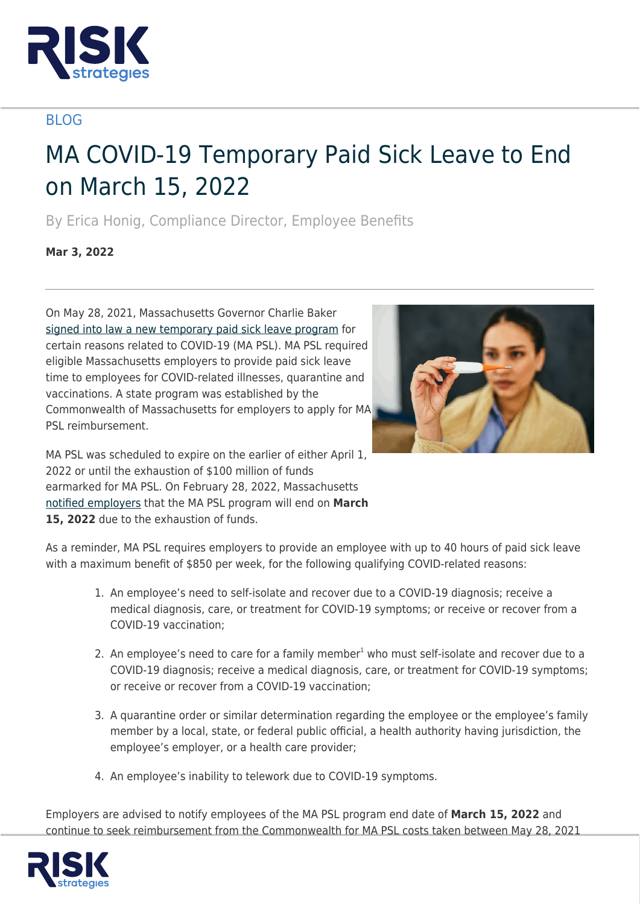

## BLOG

## MA COVID-19 Temporary Paid Sick Leave to End on March 15, 2022

By Erica Honig, Compliance Director, Employee Benefits

**Mar 3, 2022**

On May 28, 2021, Massachusetts Governor Charlie Baker [signed into law a new temporary paid sick leave program](https://malegislature.gov/Laws/SessionLaws/Acts/2021/Chapter16) for certain reasons related to COVID-19 (MA PSL). MA PSL required eligible Massachusetts employers to provide paid sick leave time to employees for COVID-related illnesses, quarantine and vaccinations. A state program was established by the Commonwealth of Massachusetts for employers to apply for MA PSL reimbursement.



MA PSL was scheduled to expire on the earlier of either April 1, 2022 or until the exhaustion of \$100 million of funds earmarked for MA PSL. On February 28, 2022, Massachusetts [notified employers](https://www.mass.gov/alerts/the-covid-19-temporary-emergency-paid-sick-leave-program-is-ending-march-15-2022#2144016) that the MA PSL program will end on **March** 15. 2022 due to the exhaustion of funds.

As a reminder, MA PSL requires employers to provide an employee with up to 40 hours of paid sick leave with a maximum benefit of \$850 per week, for the following qualifying COVID-related reasons:

- 1. An employee's need to self-isolate and recover due to a COVID-19 diagnosis; receive a medical diagnosis, care, or treatment for COVID-19 symptoms; or receive or recover from a COVID-19 vaccination;
- 2. An employee's need to care for a family member<sup>1</sup> who must self-isolate and recover due to a COVID-19 diagnosis; receive a medical diagnosis, care, or treatment for COVID-19 symptoms; or receive or recover from a COVID-19 vaccination;
- 3. A quarantine order or similar determination regarding the employee or the employee's family member by a local, state, or federal public official, a health authority having jurisdiction, the employee's employer, or a health care provider;
- 4. An employee's inability to telework due to COVID-19 symptoms.

Employers are advised to notify employees of the MA PSL program end date of **March 15, 2022** and continue to seek reimbursement from the Commonwealth for MA PSL costs taken between May 28, 2021